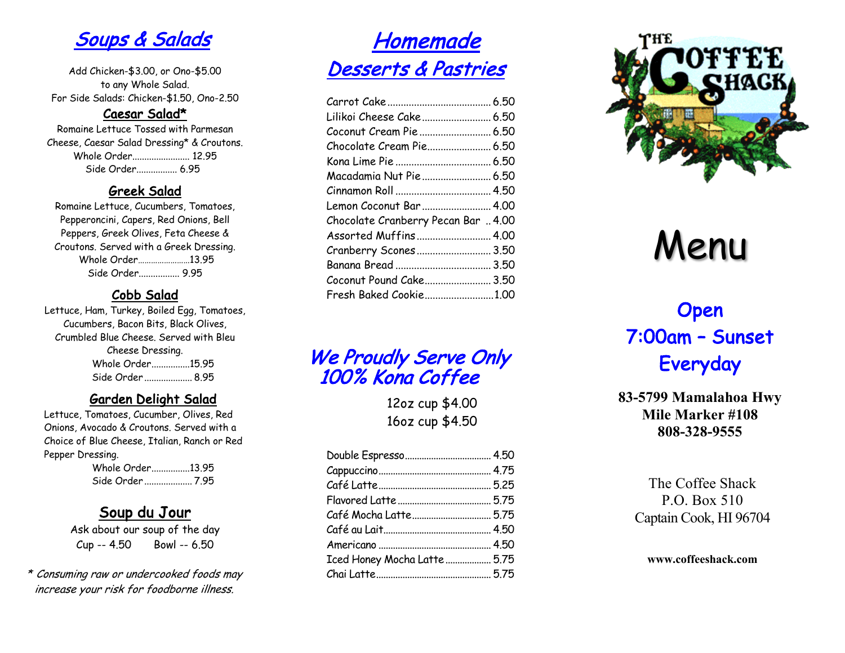Soups & Salads

Add Chicken-\$3.00, or Ono-\$5.00 to any Whole Salad. For Side Salads: Chicken-\$1.50, Ono-2.50

**Caesar Salad\***<br>Romaine Lettuce Tossed with Parmesan Cheese, Caesar Salad Dressing\* & Croutons. Whole Order........................ 12.95 Side Order................. 6.95

Greek Salad<br>Romaine Lettuce, Cucumbers, Tomatoes, Pepperoncini, Capers, Red Onions, Bell Peppers, Greek Olives, Feta Cheese & Croutons. Served with a Greek Dressing. Whole Order……………………13.95 Side Order................. 9.95

Cobb Salad<br>Lettuce, Ham, Turkey, Boiled Egg, Tomatoes, Cucumbers, Bacon Bits, Black Olives, Crumbled Blue Cheese. Served with Bleu Cheese Dressing. Whole Order................15.95 Side Order .................... 8.95

### Garden Delight Salad

Lettuce, Tomatoes, Cucumber, Olives, Red Onions, Avocado & Croutons. Served with a Choice of Blue Cheese, Italian, Ranch or Red Pepper Dressing. Whole Order................13.95

Side Order .................... 7.95

### Soup du Jour

Ask about our soup of the day Cup -- 4.50 Bowl -- 6.50

\* Consuming raw or undercooked foods may increase your risk for foodborne illness.

# **Homemade** Desserts & Pastries

| Lilikoi Cheese Cake 6.50            |  |
|-------------------------------------|--|
|                                     |  |
| Chocolate Cream Pie 6.50            |  |
|                                     |  |
| Macadamia Nut Pie  6.50             |  |
|                                     |  |
| Lemon Coconut Bar  4.00             |  |
| Chocolate Cranberry Pecan Bar  4.00 |  |
| Assorted Muffins 4.00               |  |
| Cranberry Scones 3.50               |  |
|                                     |  |
| Coconut Pound Cake 3.50             |  |
| Fresh Baked Cookie1.00              |  |
|                                     |  |

We Proudly Serve Only 100% Kona Coffee

12oz cup \$4.00 16oz cup \$4.50

| Iced Honey Mocha Latte  5.75 |  |
|------------------------------|--|
|                              |  |



# Menu

# Open 7:00am – Sunset Everyday

**83-5799 Mamalahoa Hwy Mile Marker #108 808-328-9555**

> The Coffee Shack P.O. Box 510 Captain Cook, HI 96704

**www.coffeeshack.com**